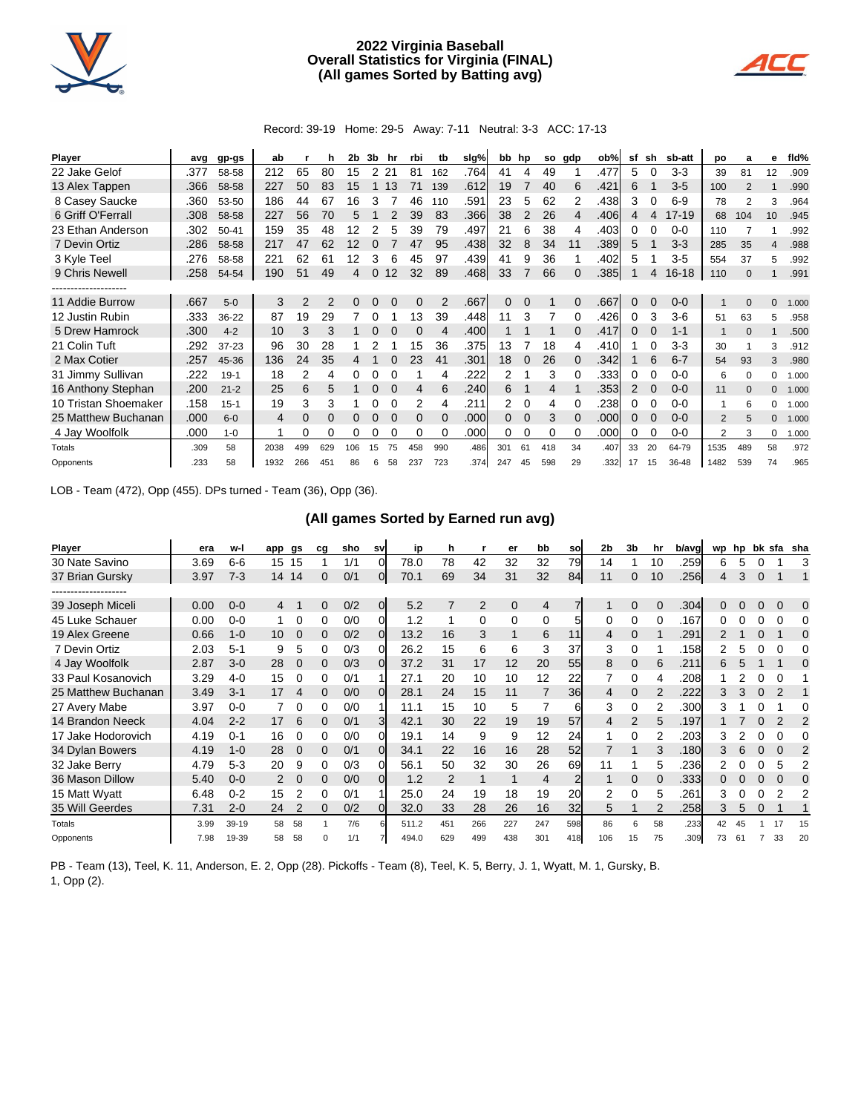

## **2022 Virginia Baseball Overall Statistics for Virginia (FINAL) (All games Sorted by Batting avg)**



Record: 39-19 Home: 29-5 Away: 7-11 Neutral: 3-3 ACC: 17-13

| Player               | avg  | gp-gs     | ab   |     | h   | 2b  | 3b | hr       | rbi      | tb  | slg% | bb hp    |    | so  | gdp      | ob%  | sf | sh       | sb-att    | po   | a        | е              | fld%  |
|----------------------|------|-----------|------|-----|-----|-----|----|----------|----------|-----|------|----------|----|-----|----------|------|----|----------|-----------|------|----------|----------------|-------|
| 22 Jake Gelof        | .377 | 58-58     | 212  | 65  | 80  | 15  | 2  | 21       | 81       | 162 | .764 | 41       |    | 49  |          | .477 | 5  |          | $3-3$     | 39   | 81       | 12             | .909  |
| 13 Alex Tappen       | .366 | 58-58     | 227  | 50  | 83  | 15  |    | 13       | 71       | 139 | .612 | 19       |    | 40  | 6        | .421 | 6  |          | $3-5$     | 100  | 2        |                | .990  |
| 8 Casey Saucke       | .360 | 53-50     | 186  | 44  | 67  | 16  | 3  |          | 46       | 110 | .591 | 23       | 5  | 62  | 2        | .438 | 3  | 0        | $6-9$     | 78   | 2        | 3              | .964  |
| 6 Griff O'Ferrall    | .308 | 58-58     | 227  | 56  | 70  | 5   |    |          | 39       | 83  | .366 | 38       |    | 26  | 4        | .406 | 4  | 4        | $17 - 19$ | 68   | 104      | 10             | .945  |
| 23 Ethan Anderson    | .302 | $50 - 41$ | 159  | 35  | 48  | 12  |    | 5        | 39       | 79  | .497 | 21       | 6  | 38  | 4        | .403 | 0  |          | $0 - 0$   | 110  |          |                | .992  |
| 7 Devin Ortiz        | .286 | 58-58     | 217  | 47  | 62  | 12  |    |          | 47       | 95  | .438 | 32       | 8  | 34  | 11       | .389 | 5  |          | $3 - 3$   | 285  | 35       | $\overline{4}$ | .988  |
| 3 Kyle Teel          | .276 | 58-58     | 221  | 62  | 61  | 12  | 3  | 6        | 45       | 97  | .439 | 41       | 9  | 36  |          | .402 | 5  |          | $3-5$     | 554  | 37       | 5              | .992  |
| 9 Chris Newell       | .258 | 54-54     | 190  | 51  | 49  | 4   | 0  | 12       | 32       | 89  | .468 | 33       |    | 66  | 0        | .385 |    | 4        | $16 - 18$ | 110  | $\Omega$ |                | .991  |
|                      |      |           |      |     |     |     |    |          |          |     |      |          |    |     |          |      |    |          |           |      |          |                |       |
| 11 Addie Burrow      | .667 | $5-0$     | 3    | 2   | 2   | 0   | 0  |          | $\Omega$ | 2   | .667 | 0        | 0  |     | 0        | .667 | 0  | 0        | $0 - 0$   |      | $\Omega$ | $\mathbf 0$    | 1.000 |
| 12 Justin Rubin      | .333 | 36-22     | 87   | 19  | 29  |     |    |          | 13       | 39  | .448 | 11       | 3  |     | $\Omega$ | .426 | 0  | 3        | $3-6$     | 51   | 63       | 5              | .958  |
| 5 Drew Hamrock       | .300 | $4 - 2$   | 10   | 3   | 3   |     |    |          | $\Omega$ | 4   | .400 |          |    |     | $\Omega$ | .417 | 0  |          | $1 - 1$   | 1    | $\Omega$ |                | .500  |
| 21 Colin Tuft        | .292 | 37-23     | 96   | 30  | 28  |     |    |          | 15       | 36  | .375 | 13       |    | 18  | 4        | .410 |    | 0        | $3-3$     | 30   |          | 3              | .912  |
| 2 Max Cotier         | .257 | 45-36     | 136  | 24  | 35  |     |    |          | 23       | 41  | .301 | 18       | 0  | 26  | 0        | .342 |    | 6        | $6 - 7$   | 54   | 93       | 3              | .980  |
| 31 Jimmy Sullivan    | .222 | $19-1$    | 18   | 2   | 4   |     |    |          |          | 4   | .222 |          |    | 3   |          | .333 | 0  |          | $0 - 0$   | 6    | $\Omega$ | $\Omega$       | 1.000 |
| 16 Anthony Stephan   | .200 | $21 - 2$  | 25   | 6   | 5   | 1   | 0  | $\Omega$ | 4        | 6   | .240 | 6        |    | 4   |          | .353 | 2  | $\Omega$ | $0 - 0$   | 11   | $\Omega$ | $\mathbf{0}$   | 1.000 |
| 10 Tristan Shoemaker | .158 | $15 - 1$  | 19   | 3   | 3   |     |    |          | 2        | 4   | .211 | 2        | 0  | 4   |          | .238 | 0  |          | $0 - 0$   |      | 6        | 0              | 1.000 |
| 25 Matthew Buchanan  | .000 | $6 - 0$   | 4    | 0   | 0   |     |    |          | $\Omega$ |     | .000 | $\Omega$ | 0  | 3   |          | .000 | 0  |          | $0 - 0$   | 2    | 5        | $\mathbf 0$    | 1.000 |
| 4 Jay Woolfolk       | .000 | $1 - 0$   |      | 0   | 0   | 0   |    | 0        | $\Omega$ |     | .000 | 0        | 0  | 0   | 0        | .000 | 0  | $\Omega$ | $0 - 0$   | 2    | 3        | 0              | 1.000 |
| Totals               | .309 | 58        | 2038 | 499 | 629 | 106 | 15 |          | 458      | 990 | .486 | 301      | 61 | 418 | 34       | .407 | 33 | 20       | 64-79     | 1535 | 489      | 58             | .972  |
| Opponents            | .233 | 58        | 1932 | 266 | 451 | 86  | 6  | 58       | 237      | 723 | .374 | 247      | 45 | 598 | 29       | .332 | 17 | 15       | 36-48     | 1482 | 539      | 74             | .965  |

LOB - Team (472), Opp (455). DPs turned - Team (36), Opp (36).

## **(All games Sorted by Earned run avg)**

| Player              | era  | w-l     | app | gs       | cq | sho | sv             | ip    | h              |                | er       | bb             | sol | 2 <sub>b</sub> | 3b             | hr | b/avg | wp       | hp |   |               | bk sfa sha     |
|---------------------|------|---------|-----|----------|----|-----|----------------|-------|----------------|----------------|----------|----------------|-----|----------------|----------------|----|-------|----------|----|---|---------------|----------------|
| 30 Nate Savino      | 3.69 | $6-6$   | 15  | 15       |    | 1/1 | $\Omega$       | 78.0  | 78             | 42             | 32       | 32             | 79  | 14             |                | 10 | .259  | 6        | 5  |   |               | З              |
| 37 Brian Gursky     | 3.97 | $7-3$   | 14  | 14       | 0  | 0/1 | 01             | 70.1  | 69             | 34             | 31       | 32             | 84  | 11             | 0              | 10 | .256  | 4        | 3  | 0 |               |                |
|                     |      |         |     |          |    |     |                |       |                |                |          |                |     |                |                |    |       |          |    |   |               |                |
| 39 Joseph Miceli    | 0.00 | $0 - 0$ | 4   |          | 0  | 0/2 | $\overline{0}$ | 5.2   | 7              | $\overline{2}$ | $\Omega$ | 4              |     |                | 0              | 0  | .304  | $\Omega$ | 0  | 0 | $\Omega$      | $\Omega$       |
| 45 Luke Schauer     | 0.00 | $0 - 0$ |     | 0        | 0  | 0/0 | 0              | 1.2   |                | 0              | 0        | 0              |     | 0              | 0              |    | .167  |          |    |   | 0             | 0              |
| 19 Alex Greene      | 0.66 | $1 - 0$ | 10  | 0        | 0  | 0/2 | 0              | 13.2  | 16             | 3              |          | 6              | 11  | 4              | 0              |    | .291  |          |    |   |               |                |
| 7 Devin Ortiz       | 2.03 | $5 - 1$ | 9   | 5        | 0  | 0/3 |                | 26.2  | 15             | 6              | 6        | 3              | 37  | 3              | 0              |    | .158  |          | 5  |   |               |                |
| 4 Jay Woolfolk      | 2.87 | $3-0$   | 28  | $\Omega$ | 0  | 0/3 | $\Omega$       | 37.2  | 31             | 17             | 12       | 20             | 55  | 8              | $\Omega$       | 6  | .211  | 6        |    |   |               | C              |
| 33 Paul Kosanovich  | 3.29 | $4 - 0$ | 15  | 0        | 0  | 0/1 |                | 27.1  | 20             | 10             | 10       | 12             | 22  |                | 0              |    | .208  |          |    |   |               |                |
| 25 Matthew Buchanan | 3.49 | $3 - 1$ | 17  | 4        | 0  | 0/0 | ΩI             | 28.1  | 24             | 15             | 11       |                | 36  | 4              | 0              |    | .222  | 3        | 3  |   |               |                |
| 27 Avery Mabe       | 3.97 | $0 - 0$ |     | 0        | 0  | 0/0 |                | 11.1  | 15             | 10             | 5        |                | 61  | 3              | 0              | 2  | .300  |          |    |   |               | 0              |
| 14 Brandon Neeck    | 4.04 | $2 - 2$ | 17  | 6        | 0  | 0/1 | 3              | 42.1  | 30             | 22             | 19       | 19             | 57  | 4              | $\overline{2}$ | 5  | .197  |          |    |   | $\mathcal{P}$ | $\overline{2}$ |
| 17 Jake Hodorovich  | 4.19 | $0 - 1$ | 16  | 0        | 0  | 0/0 | 0              | 19.1  | 14             | 9              | 9        | 12             | 24  |                | 0              |    | .203  | 3        |    |   |               | 0              |
| 34 Dylan Bowers     | 4.19 | $1 - 0$ | 28  | 0        | 0  | 0/1 | 01             | 34.1  | 22             | 16             | 16       | 28             | 52  |                |                | 3  | .180  | 3        | 6  |   | $\Omega$      | 2              |
| 32 Jake Berry       | 4.79 | $5-3$   | 20  | 9        | 0  | 0/3 |                | 56.1  | 50             | 32             | 30       | 26             | 69  | 11             |                | 5  | .236  |          |    |   | 5             |                |
| 36 Mason Dillow     | 5.40 | $0 - 0$ | 2   | $\Omega$ | 0  | 0/0 | 0l             | 1.2   | $\overline{2}$ | 1              |          | $\overline{4}$ | 2   |                | 0              |    | .333  |          |    |   | $\Omega$      |                |
| 15 Matt Wyatt       | 6.48 | $0 - 2$ | 15  | 2        | 0  | 0/1 |                | 25.0  | 24             | 19             | 18       | 19             | 20  | 2              | 0              | 5  | .261  | 3        |    |   | 2             |                |
| 35 Will Geerdes     | 7.31 | $2 - 0$ | 24  |          | 0  | 0/2 | OI.            | 32.0  | 33             | 28             | 26       | 16             | 32  | 5              |                |    | .258  | 3        | 5  |   |               |                |
| Totals              | 3.99 | 39-19   | 58  | 58       |    | 7/6 |                | 511.2 | 451            | 266            | 227      | 247            | 598 | 86             | 6              | 58 | .233  | 42       |    |   |               | 15             |
| Opponents           | 7.98 | 19-39   | 58  | 58       | n  | 1/1 |                | 494.0 | 629            | 499            | 438      | 301            | 418 | 106            | 15             | 75 | .309  | 73       | 61 |   | 33            | 20             |

PB - Team (13), Teel, K. 11, Anderson, E. 2, Opp (28). Pickoffs - Team (8), Teel, K. 5, Berry, J. 1, Wyatt, M. 1, Gursky, B. 1, Opp (2).